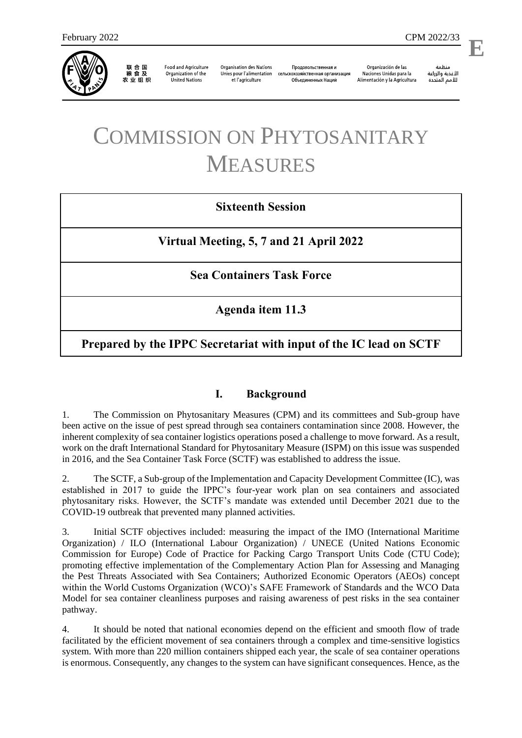

联合国<br>粮食及 农业组织

**Food and Agriculture** Organization of the **United Nations** 

**Organisation des Nations** Unies pour l'alimentation et l'agriculture

Продовольственная и сельскохозяйственная организация Объелиненных Наций

Organización de las Naciones Unidas para la Alimentación y la Agricultura

منظمة الأغذية والزراعة للأمم المتحدة

l,

**E**

## COMMISSION ON PHYTOSANITARY MEASURES

## **Sixteenth Session**

**Virtual Meeting, 5, 7 and 21 April 2022**

**Sea Containers Task Force** 

**Agenda item 11.3**

**Prepared by the IPPC Secretariat with input of the IC lead on SCTF**

## **I. Background**

1. The Commission on Phytosanitary Measures (CPM) and its committees and Sub-group have been active on the issue of pest spread through sea containers contamination since 2008. However, the inherent complexity of sea container logistics operations posed a challenge to move forward. As a result, work on the draft International Standard for Phytosanitary Measure (ISPM) on this issue was suspended in 2016, and the Sea Container Task Force (SCTF) was established to address the issue.

2. The SCTF, a Sub-group of the Implementation and Capacity Development Committee (IC), was established in 2017 to guide the IPPC's four-year work plan on sea containers and associated phytosanitary risks. However, the SCTF's mandate was extended until December 2021 due to the COVID-19 outbreak that prevented many planned activities.

3. Initial SCTF objectives included: measuring the impact of the IMO (International Maritime Organization) / ILO (International Labour Organization) / UNECE (United Nations Economic Commission for Europe) Code of Practice for Packing Cargo Transport Units Code (CTU Code); promoting effective implementation of the Complementary Action Plan for Assessing and Managing the Pest Threats Associated with Sea Containers; Authorized Economic Operators (AEOs) concept within the World Customs Organization (WCO)'s SAFE Framework of Standards and the WCO Data Model for sea container cleanliness purposes and raising awareness of pest risks in the sea container pathway.

4. It should be noted that national economies depend on the efficient and smooth flow of trade facilitated by the efficient movement of sea containers through a complex and time-sensitive logistics system. With more than 220 million containers shipped each year, the scale of sea container operations is enormous. Consequently, any changes to the system can have significant consequences. Hence, as the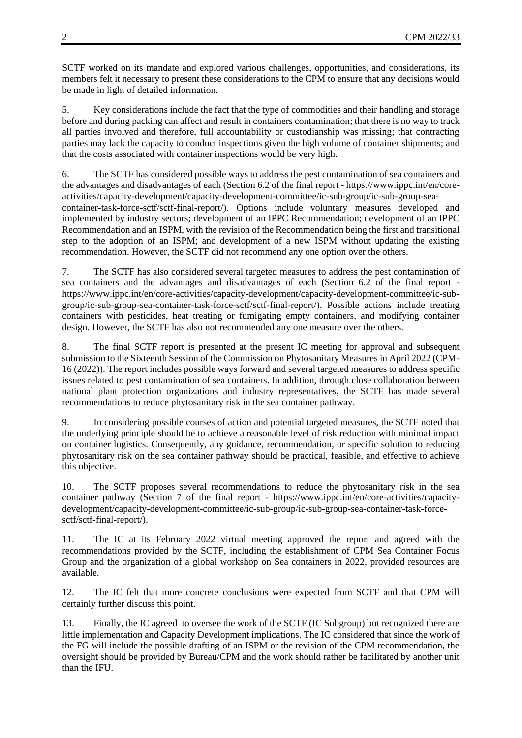SCTF worked on its mandate and explored various challenges, opportunities, and considerations, its members felt it necessary to present these considerations to the CPM to ensure that any decisions would be made in light of detailed information.

5. Key considerations include the fact that the type of commodities and their handling and storage before and during packing can affect and result in containers contamination; that there is no way to track all parties involved and therefore, full accountability or custodianship was missing; that contracting parties may lack the capacity to conduct inspections given the high volume of container shipments; and that the costs associated with container inspections would be very high.

6. The SCTF has considered possible ways to address the pest contamination of sea containers and the advantages and disadvantages of each (Section 6.2 of the final report - [https://www.ippc.int/en/core](https://www.ippc.int/en/core-activities/capacity-development/capacity-development-committee/ic-sub-group/ic-sub-group-sea-container-task-force-sctf/sctf-final-report/)[activities/capacity-development/capacity-development-committee/ic-sub-group/ic-sub-group-sea](https://www.ippc.int/en/core-activities/capacity-development/capacity-development-committee/ic-sub-group/ic-sub-group-sea-container-task-force-sctf/sctf-final-report/)[container-task-force-sctf/sctf-final-report/\)](https://www.ippc.int/en/core-activities/capacity-development/capacity-development-committee/ic-sub-group/ic-sub-group-sea-container-task-force-sctf/sctf-final-report/). Options include voluntary measures developed and implemented by industry sectors; development of an IPPC Recommendation; development of an IPPC Recommendation and an ISPM, with the revision of the Recommendation being the first and transitional step to the adoption of an ISPM; and development of a new ISPM without updating the existing recommendation. However, the SCTF did not recommend any one option over the others.

7. The SCTF has also considered several targeted measures to address the pest contamination of sea containers and the advantages and disadvantages of each (Section 6.2 of the final report [https://www.ippc.int/en/core-activities/capacity-development/capacity-development-committee/ic-sub](https://www.ippc.int/en/core-activities/capacity-development/capacity-development-committee/ic-sub-group/ic-sub-group-sea-container-task-force-sctf/sctf-final-report/)[group/ic-sub-group-sea-container-task-force-sctf/sctf-final-report/\)](https://www.ippc.int/en/core-activities/capacity-development/capacity-development-committee/ic-sub-group/ic-sub-group-sea-container-task-force-sctf/sctf-final-report/). Possible actions include treating containers with pesticides, heat treating or fumigating empty containers, and modifying container design. However, the SCTF has also not recommended any one measure over the others.

8. The final SCTF report is presented at the present IC meeting for approval and subsequent submission to the Sixteenth Session of the Commission on Phytosanitary Measures in April 2022 (CPM-16 (2022)). The report includes possible ways forward and several targeted measures to address specific issues related to pest contamination of sea containers. In addition, through close collaboration between national plant protection organizations and industry representatives, the SCTF has made several recommendations to reduce phytosanitary risk in the sea container pathway.

9. In considering possible courses of action and potential targeted measures, the SCTF noted that the underlying principle should be to achieve a reasonable level of risk reduction with minimal impact on container logistics. Consequently, any guidance, recommendation, or specific solution to reducing phytosanitary risk on the sea container pathway should be practical, feasible, and effective to achieve this objective.

10. The SCTF proposes several recommendations to reduce the phytosanitary risk in the sea container pathway (Section 7 of the final report - [https://www.ippc.int/en/core-activities/capacity](https://www.ippc.int/en/core-activities/capacity-development/capacity-development-committee/ic-sub-group/ic-sub-group-sea-container-task-force-sctf/sctf-final-report/)[development/capacity-development-committee/ic-sub-group/ic-sub-group-sea-container-task-force](https://www.ippc.int/en/core-activities/capacity-development/capacity-development-committee/ic-sub-group/ic-sub-group-sea-container-task-force-sctf/sctf-final-report/)[sctf/sctf-final-report/\)](https://www.ippc.int/en/core-activities/capacity-development/capacity-development-committee/ic-sub-group/ic-sub-group-sea-container-task-force-sctf/sctf-final-report/).

11. The IC at its February 2022 virtual meeting approved the report and agreed with the recommendations provided by the SCTF, including the establishment of CPM Sea Container Focus Group and the organization of a global workshop on Sea containers in 2022, provided resources are available.

12. The IC felt that more concrete conclusions were expected from SCTF and that CPM will certainly further discuss this point.

13. Finally, the IC agreed to oversee the work of the SCTF (IC Subgroup) but recognized there are little implementation and Capacity Development implications. The IC considered that since the work of the FG will include the possible drafting of an ISPM or the revision of the CPM recommendation, the oversight should be provided by Bureau/CPM and the work should rather be facilitated by another unit than the IFU.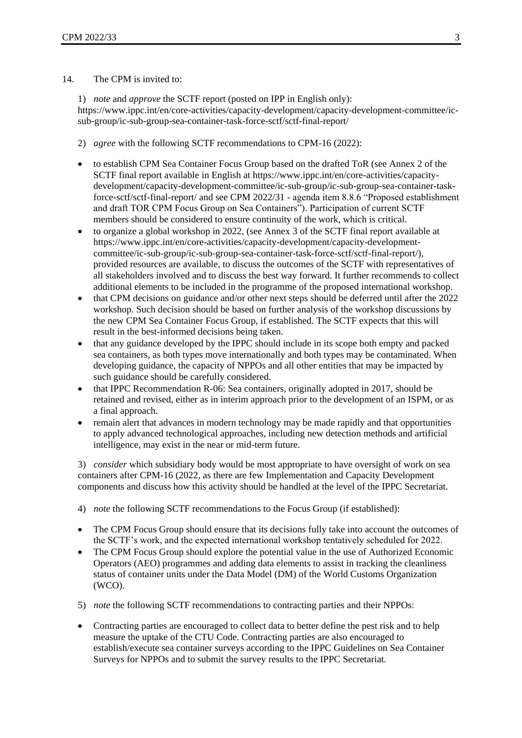## 14. The CPM is invited to:

1) *note* and *approve* the SCTF report (posted on IPP in English only): [https://www.ippc.int/en/core-activities/capacity-development/capacity-development-committee/ic](https://www.ippc.int/en/core-activities/capacity-development/capacity-development-committee/ic-sub-group/ic-sub-group-sea-container-task-force-sctf/sctf-final-report/)[sub-group/ic-sub-group-sea-container-task-force-sctf/sctf-final-report/](https://www.ippc.int/en/core-activities/capacity-development/capacity-development-committee/ic-sub-group/ic-sub-group-sea-container-task-force-sctf/sctf-final-report/)

- 2) *agree* with the following SCTF recommendations to CPM-16 (2022):
- to establish CPM Sea Container Focus Group based on the drafted ToR (see Annex 2 of the SCTF final report available in English at [https://www.ippc.int/en/core-activities/capacity](https://www.ippc.int/en/core-activities/capacity-development/capacity-development-committee/ic-sub-group/ic-sub-group-sea-container-task-force-sctf/sctf-final-report/)[development/capacity-development-committee/ic-sub-group/ic-sub-group-sea-container-task](https://www.ippc.int/en/core-activities/capacity-development/capacity-development-committee/ic-sub-group/ic-sub-group-sea-container-task-force-sctf/sctf-final-report/)[force-sctf/sctf-final-report/](https://www.ippc.int/en/core-activities/capacity-development/capacity-development-committee/ic-sub-group/ic-sub-group-sea-container-task-force-sctf/sctf-final-report/) and see CPM 2022/31 - agenda item 8.8.6 "Proposed establishment and draft TOR CPM Focus Group on Sea Containers"). Participation of current SCTF members should be considered to ensure continuity of the work, which is critical.
- to organize a global workshop in 2022, (see Annex 3 of the SCTF final report available at [https://www.ippc.int/en/core-activities/capacity-development/capacity-development](https://www.ippc.int/en/core-activities/capacity-development/capacity-development-committee/ic-sub-group/ic-sub-group-sea-container-task-force-sctf/sctf-final-report/)[committee/ic-sub-group/ic-sub-group-sea-container-task-force-sctf/sctf-final-report/\)](https://www.ippc.int/en/core-activities/capacity-development/capacity-development-committee/ic-sub-group/ic-sub-group-sea-container-task-force-sctf/sctf-final-report/), provided resources are available, to discuss the outcomes of the SCTF with representatives of all stakeholders involved and to discuss the best way forward. It further recommends to collect additional elements to be included in the programme of the proposed international workshop.
- that CPM decisions on guidance and/or other next steps should be deferred until after the 2022 workshop. Such decision should be based on further analysis of the workshop discussions by the new CPM Sea Container Focus Group, if established. The SCTF expects that this will result in the best-informed decisions being taken.
- that any guidance developed by the IPPC should include in its scope both empty and packed sea containers, as both types move internationally and both types may be contaminated. When developing guidance, the capacity of NPPOs and all other entities that may be impacted by such guidance should be carefully considered.
- that IPPC Recommendation R-06: Sea containers, originally adopted in 2017, should be retained and revised, either as in interim approach prior to the development of an ISPM, or as a final approach.
- remain alert that advances in modern technology may be made rapidly and that opportunities to apply advanced technological approaches, including new detection methods and artificial intelligence, may exist in the near or mid-term future.

3) *consider* which subsidiary body would be most appropriate to have oversight of work on sea containers after CPM-16 (2022, as there are few Implementation and Capacity Development components and discuss how this activity should be handled at the level of the IPPC Secretariat.

- 4) *note* the following SCTF recommendations to the Focus Group (if established):
- The CPM Focus Group should ensure that its decisions fully take into account the outcomes of the SCTF's work, and the expected international workshop tentatively scheduled for 2022.
- The CPM Focus Group should explore the potential value in the use of Authorized Economic Operators (AEO) programmes and adding data elements to assist in tracking the cleanliness status of container units under the Data Model (DM) of the World Customs Organization (WCO).
- 5) *note* the following SCTF recommendations to contracting parties and their NPPOs:
- Contracting parties are encouraged to collect data to better define the pest risk and to help measure the uptake of the CTU Code. Contracting parties are also encouraged to establish/execute sea container surveys according to the IPPC Guidelines on Sea Container Surveys for NPPOs and to submit the survey results to the IPPC Secretariat.